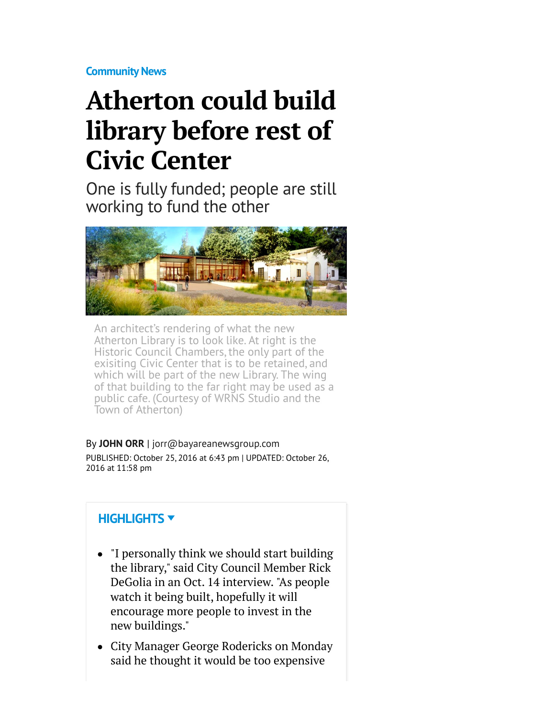**[Community News](http://www.mercurynews.com/community-news/)**

## **Atherton could build library before rest of Civic Center**

One is fully funded; people are still working to fund the other



An architect's rendering of what the new Atherton Library is to look like. At right is the Historic Council Chambers, the only part of the exisiting Civic Center that is to be retained, and which will be part of the new Library. The wing of that building to the far right may be used as a public cafe. (Courtesy of WRNS Studio and the Town of Atherton)

By **[JOHN ORR](http://www.mercurynews.com/author/john-orr/)** | [jorr@bayareanewsgroup.com](mailto:jorr@bayareanewsgroup.com)

PUBLISHED: October 25, 2016 at 6:43 pm | UPDATED: October 26, 2016 at 11:58 pm

## **HIGHLIGHTS**

- "I personally think we should start building the library," said City Council Member Rick DeGolia in an Oct. 14 interview. "As people watch it being built, hopefully it will encourage more people to invest in the new buildings."
- City Manager George Rodericks on Monday said he thought it would be too expensive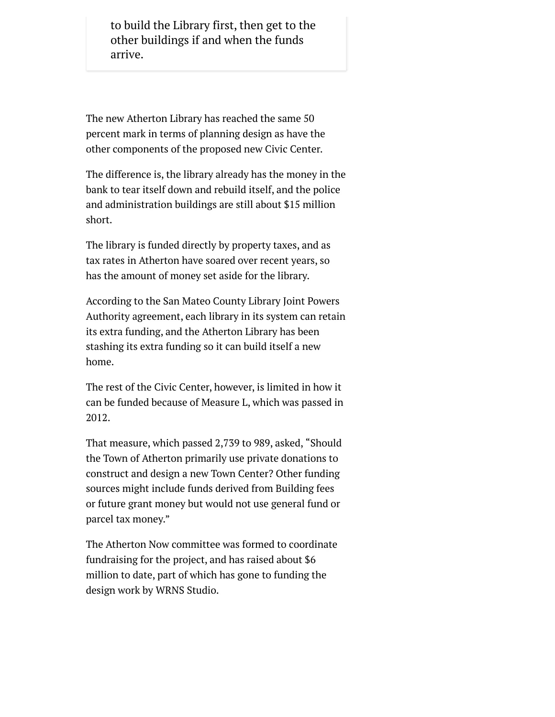to build the Library first, then get to the other buildings if and when the funds arrive.

The new Atherton Library has reached the same 50 percent mark in terms of planning design as have the other components of the proposed new Civic Center.

The difference is, the library already has the money in the bank to tear itself down and rebuild itself, and the police and administration buildings are still about \$15 million short.

The library is funded directly by property taxes, and as tax rates in Atherton have soared over recent years, so has the amount of money set aside for the library.

According to the San Mateo County Library Joint Powers Authority agreement, each library in its system can retain its extra funding, and the Atherton Library has been stashing its extra funding so it can build itself a new home.

The rest of the Civic Center, however, is limited in how it can be funded because of Measure L, which was passed in 2012.

That measure, which passed 2,739 to 989, asked, "Should the Town of Atherton primarily use private donations to construct and design a new Town Center? Other funding sources might include funds derived from Building fees or future grant money but would not use general fund or parcel tax money."

The Atherton Now committee was formed to coordinate fundraising for the project, and has raised about \$6 million to date, part of which has gone to funding the design work by WRNS Studio.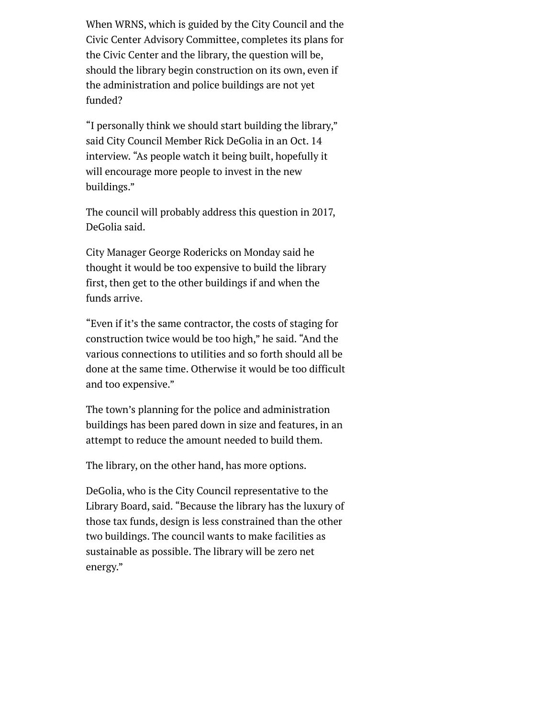When WRNS, which is guided by the City Council and the Civic Center Advisory Committee, completes its plans for the Civic Center and the library, the question will be, should the library begin construction on its own, even if the administration and police buildings are not yet funded?

"I personally think we should start building the library," said City Council Member Rick DeGolia in an Oct. 14 interview. "As people watch it being built, hopefully it will encourage more people to invest in the new buildings."

The council will probably address this question in 2017, DeGolia said.

City Manager George Rodericks on Monday said he thought it would be too expensive to build the library first, then get to the other buildings if and when the funds arrive.

"Even if it's the same contractor, the costs of staging for construction twice would be too high," he said. "And the various connections to utilities and so forth should all be done at the same time. Otherwise it would be too difficult and too expensive."

The town's planning for the police and administration buildings has been pared down in size and features, in an attempt to reduce the amount needed to build them.

The library, on the other hand, has more options.

DeGolia, who is the City Council representative to the Library Board, said. "Because the library has the luxury of those tax funds, design is less constrained than the other two buildings. The council wants to make facilities as sustainable as possible. The library will be zero net energy."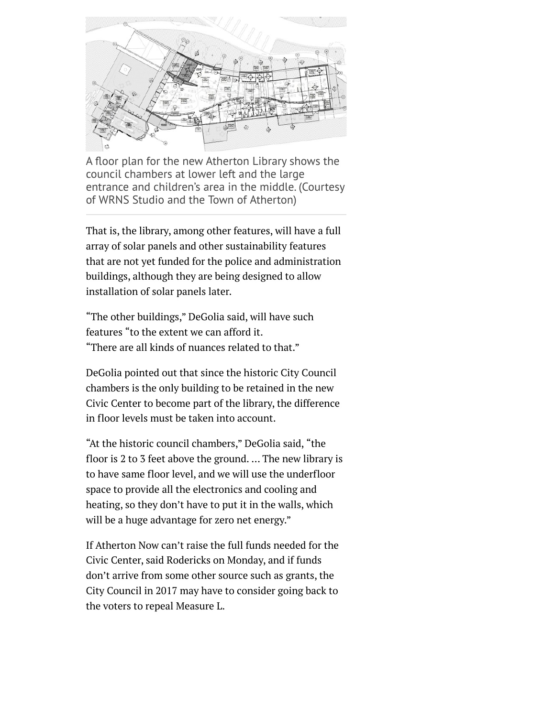

A floor plan for the new Atherton Library shows the council chambers at lower left and the large entrance and children's area in the middle. (Courtesy of WRNS Studio and the Town of Atherton)

That is, the library, among other features, will have a full array of solar panels and other sustainability features that are not yet funded for the police and administration buildings, although they are being designed to allow installation of solar panels later.

"The other buildings," DeGolia said, will have such features "to the extent we can afford it. "There are all kinds of nuances related to that."

DeGolia pointed out that since the historic City Council chambers is the only building to be retained in the new Civic Center to become part of the library, the difference in floor levels must be taken into account.

"At the historic council chambers," DeGolia said, "the floor is 2 to 3 feet above the ground. … The new library is to have same floor level, and we will use the underfloor space to provide all the electronics and cooling and heating, so they don't have to put it in the walls, which will be a huge advantage for zero net energy."

If Atherton Now can't raise the full funds needed for the Civic Center, said Rodericks on Monday, and if funds don't arrive from some other source such as grants, the City Council in 2017 may have to consider going back to the voters to repeal Measure L.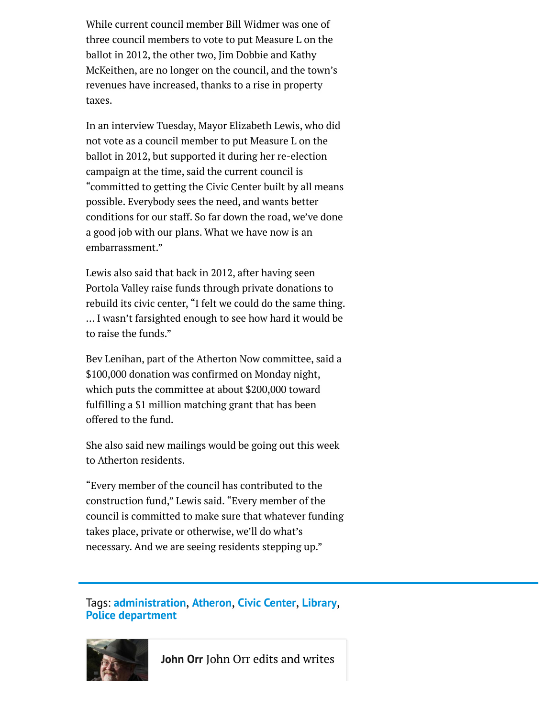While current council member Bill Widmer was one of three council members to vote to put Measure L on the ballot in 2012, the other two, Jim Dobbie and Kathy McKeithen, are no longer on the council, and the town's revenues have increased, thanks to a rise in property taxes.

In an interview Tuesday, Mayor Elizabeth Lewis, who did not vote as a council member to put Measure L on the ballot in 2012, but supported it during her re-election campaign at the time, said the current council is "committed to getting the Civic Center built by all means possible. Everybody sees the need, and wants better conditions for our staff. So far down the road, we've done a good job with our plans. What we have now is an embarrassment."

Lewis also said that back in 2012, after having seen Portola Valley raise funds through private donations to rebuild its civic center, "I felt we could do the same thing. … I wasn't farsighted enough to see how hard it would be to raise the funds."

Bev Lenihan, part of the Atherton Now committee, said a \$100,000 donation was confirmed on Monday night, which puts the committee at about \$200,000 toward fulfilling a \$1 million matching grant that has been offered to the fund.

She also said new mailings would be going out this week to Atherton residents.

"Every member of the council has contributed to the construction fund," Lewis said. "Every member of the council is committed to make sure that whatever funding takes place, private or otherwise, we'll do what's necessary. And we are seeing residents stepping up."

Tags: **[administration](http://www.mercurynews.com/tag/administration/)**, **[Atheron](http://www.mercurynews.com/tag/atheron/)**, **[Civic Center](http://www.mercurynews.com/tag/civic-center/)**, **[Library](http://www.mercurynews.com/tag/library/)**, **[Police department](http://www.mercurynews.com/tag/police-department/)**



**[John Orr](http://www.mercurynews.com/author/john-orr/)** John Orr edits and writes